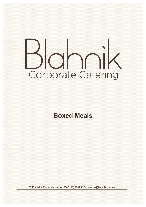# ahni Corporate Catering

### **Boxed Meals**

30 Equitable Place, Melbourne, 3000 (03) 9642 2234 catering@blahnik.com.au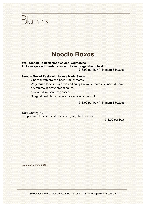# Blahnik

## **Noodle Boxes**

#### **Wok-tossed Hokkien Noodles and Vegetables**

In Asian spice with fresh coriander: chicken, vegetable or beef \$13.90 per box (minimum 6 boxes)

#### **Noodle Box of Pasta with House Made Sauce**

- Gnocchi with braised beef & mushrooms
- Vegetarian tortellini with roasted pumpkin, mushrooms, spinach & semi dry tomato in pesto cream sauce
- Chicken & mushroom gnocchi
- Spaghetti with tuna, capers, olives & a hint of chilli

\$13.90 per box (minimum 6 boxes)

Nasi Goreng (GF) Topped with fresh coriander: chicken, vegetable or beef

\$13.90 per box

*All prices include GST*